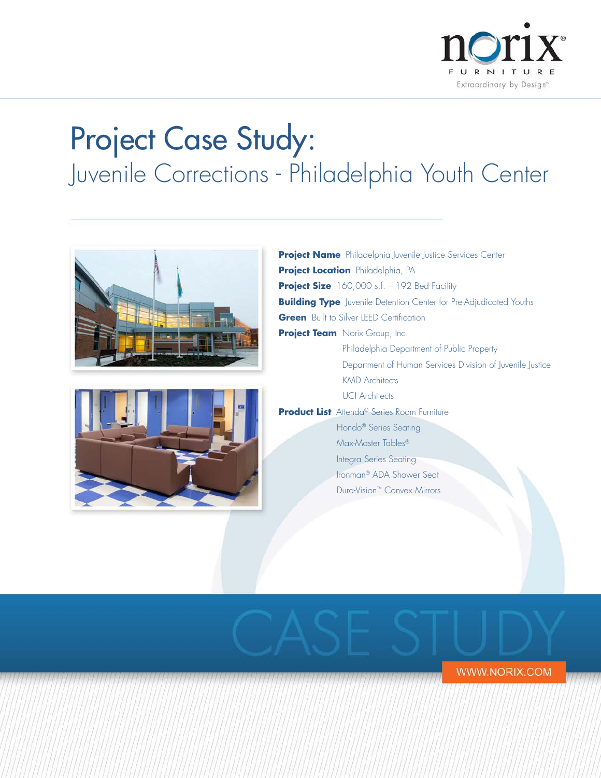

# Project Case Study: Juvenile Corrections - Philadelphia Youth Center



**WWW.NORIX.COM**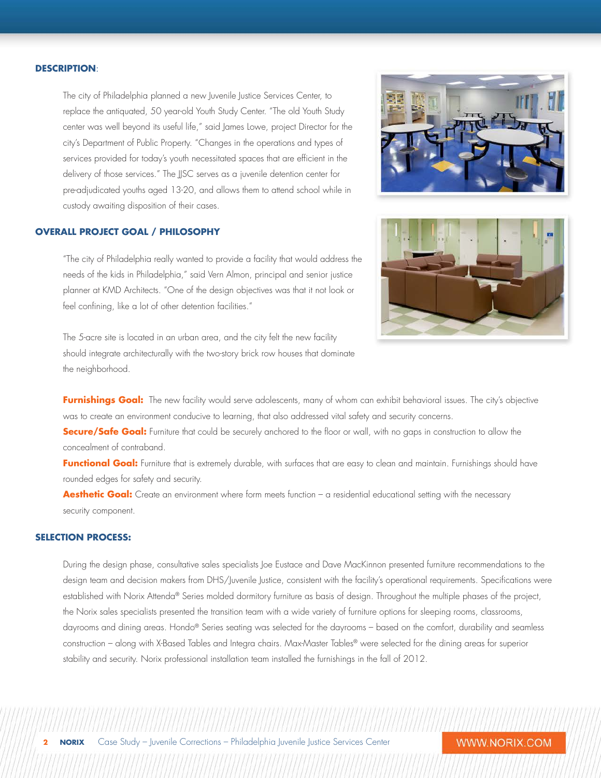#### **DESCRIPTION**:

The city of Philadelphia planned a new Juvenile Justice Services Center, to replace the antiquated, 50 year-old Youth Study Center. "The old Youth Study center was well beyond its useful life," said James Lowe, project Director for the city's Department of Public Property. "Changes in the operations and types of services provided for today's youth necessitated spaces that are efficient in the delivery of those services." The JJSC serves as a juvenile detention center for pre-adjudicated youths aged 13-20, and allows them to attend school while in custody awaiting disposition of their cases.

# **OVERALL PROJECT GOAL / PHILOSOPHY**

"The city of Philadelphia really wanted to provide a facility that would address the needs of the kids in Philadelphia," said Vern Almon, principal and senior justice planner at KMD Architects. "One of the design objectives was that it not look or feel confining, like a lot of other detention facilities."

The 5-acre site is located in an urban area, and the city felt the new facility should integrate architecturally with the two-story brick row houses that dominate the neighborhood.





Furnishings Goal: The new facility would serve adolescents, many of whom can exhibit behavioral issues. The city's objective was to create an environment conducive to learning, that also addressed vital safety and security concerns.

**Secure/Safe Goal:** Furniture that could be securely anchored to the floor or wall, with no gaps in construction to allow the concealment of contraband.

Functional Goal: Furniture that is extremely durable, with surfaces that are easy to clean and maintain. Furnishings should have rounded edges for safety and security.

Aesthetic Goal: Create an environment where form meets function – a residential educational setting with the necessary security component.

### **SELECTION PROCESS:**

During the design phase, consultative sales specialists Joe Eustace and Dave MacKinnon presented furniture recommendations to the design team and decision makers from DHS/Juvenile Justice, consistent with the facility's operational requirements. Specifications were established with Norix Attenda® Series molded dormitory furniture as basis of design. Throughout the multiple phases of the project, the Norix sales specialists presented the transition team with a wide variety of furniture options for sleeping rooms, classrooms, dayrooms and dining areas. Hondo® Series seating was selected for the dayrooms – based on the comfort, durability and seamless construction – along with X-Based Tables and Integra chairs. Max-Master Tables® were selected for the dining areas for superior stability and security. Norix professional installation team installed the furnishings in the fall of 2012.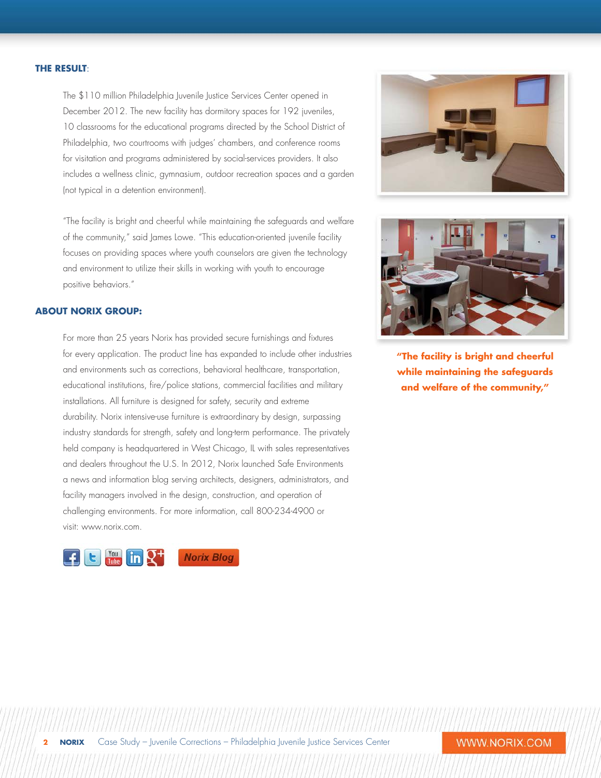#### **THE RESULT**:

The \$110 million Philadelphia Juvenile Justice Services Center opened in December 2012. The new facility has dormitory spaces for 192 juveniles, 10 classrooms for the educational programs directed by the School District of Philadelphia, two courtrooms with judges' chambers, and conference rooms for visitation and programs administered by social-services providers. It also includes a wellness clinic, gymnasium, outdoor recreation spaces and a garden (not typical in a detention environment).

"The facility is bright and cheerful while maintaining the safeguards and welfare of the community," said James Lowe. "This education-oriented juvenile facility focuses on providing spaces where youth counselors are given the technology and environment to utilize their skills in working with youth to encourage positive behaviors."

# **ABOUT NORIX GROUP:**

For more than 25 years Norix has provided secure furnishings and fixtures for every application. The product line has expanded to include other industries and environments such as corrections, behavioral healthcare, transportation, educational institutions, fire/police stations, commercial facilities and military installations. All furniture is designed for safety, security and extreme durability. Norix intensive-use furniture is extraordinary by design, surpassing industry standards for strength, safety and long-term performance. The privately held company is headquartered in West Chicago, IL with sales representatives and dealers throughout the U.S. In 2012, Norix launched Safe Environments a news and information blog serving architects, designers, administrators, and facility managers involved in the design, construction, and operation of challenging environments. For more information, call 800-234-4900 or visit: www.norix.com.







**"The facility is bright and cheerful while maintaining the safeguards and welfare of the community,"**